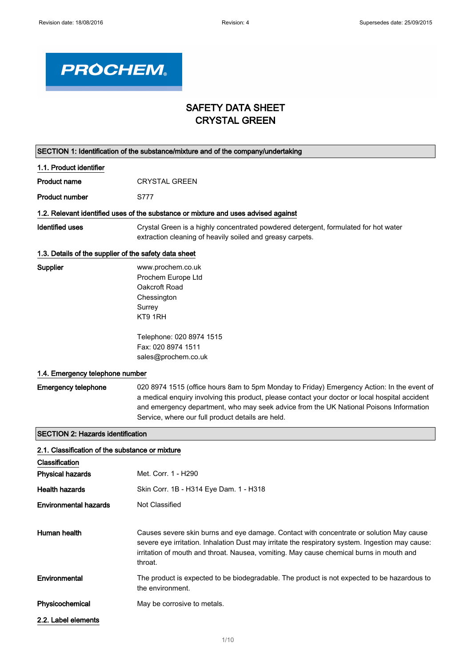

# SAFETY DATA SHEET CRYSTAL GREEN

| SECTION 1: Identification of the substance/mixture and of the company/undertaking |                                                                                                                                                                                                                                                                                                                                              |  |  |  |
|-----------------------------------------------------------------------------------|----------------------------------------------------------------------------------------------------------------------------------------------------------------------------------------------------------------------------------------------------------------------------------------------------------------------------------------------|--|--|--|
| 1.1. Product identifier                                                           |                                                                                                                                                                                                                                                                                                                                              |  |  |  |
| <b>Product name</b>                                                               | <b>CRYSTAL GREEN</b>                                                                                                                                                                                                                                                                                                                         |  |  |  |
| <b>Product number</b>                                                             | S777                                                                                                                                                                                                                                                                                                                                         |  |  |  |
|                                                                                   | 1.2. Relevant identified uses of the substance or mixture and uses advised against                                                                                                                                                                                                                                                           |  |  |  |
| <b>Identified uses</b>                                                            | Crystal Green is a highly concentrated powdered detergent, formulated for hot water<br>extraction cleaning of heavily soiled and greasy carpets.                                                                                                                                                                                             |  |  |  |
| 1.3. Details of the supplier of the safety data sheet                             |                                                                                                                                                                                                                                                                                                                                              |  |  |  |
| Supplier                                                                          | www.prochem.co.uk<br>Prochem Europe Ltd<br>Oakcroft Road<br>Chessington<br>Surrey<br>KT9 1RH                                                                                                                                                                                                                                                 |  |  |  |
|                                                                                   | Telephone: 020 8974 1515<br>Fax: 020 8974 1511<br>sales@prochem.co.uk                                                                                                                                                                                                                                                                        |  |  |  |
| 1.4. Emergency telephone number                                                   |                                                                                                                                                                                                                                                                                                                                              |  |  |  |
| <b>Emergency telephone</b>                                                        | 020 8974 1515 (office hours 8am to 5pm Monday to Friday) Emergency Action: In the event of<br>a medical enquiry involving this product, please contact your doctor or local hospital accident<br>and emergency department, who may seek advice from the UK National Poisons Information<br>Service, where our full product details are held. |  |  |  |
| <b>SECTION 2: Hazards identification</b>                                          |                                                                                                                                                                                                                                                                                                                                              |  |  |  |
| 2.1. Classification of the substance or mixture                                   |                                                                                                                                                                                                                                                                                                                                              |  |  |  |
| Classification                                                                    |                                                                                                                                                                                                                                                                                                                                              |  |  |  |
| <b>Physical hazards</b>                                                           | Met. Corr. 1 - H290                                                                                                                                                                                                                                                                                                                          |  |  |  |
| <b>Health hazards</b>                                                             | Skin Corr. 1B - H314 Eye Dam. 1 - H318                                                                                                                                                                                                                                                                                                       |  |  |  |
| <b>Environmental hazards</b>                                                      | Not Classified                                                                                                                                                                                                                                                                                                                               |  |  |  |
| Human health                                                                      | Causes severe skin burns and eye damage. Contact with concentrate or solution May cause<br>severe eye irritation. Inhalation Dust may irritate the respiratory system. Ingestion may cause:<br>irritation of mouth and throat. Nausea, vomiting. May cause chemical burns in mouth and<br>throat.                                            |  |  |  |
| Environmental                                                                     | The product is expected to be biodegradable. The product is not expected to be hazardous to<br>the environment.                                                                                                                                                                                                                              |  |  |  |
| Physicochemical                                                                   | May be corrosive to metals.                                                                                                                                                                                                                                                                                                                  |  |  |  |
| 2.2. Label elements                                                               |                                                                                                                                                                                                                                                                                                                                              |  |  |  |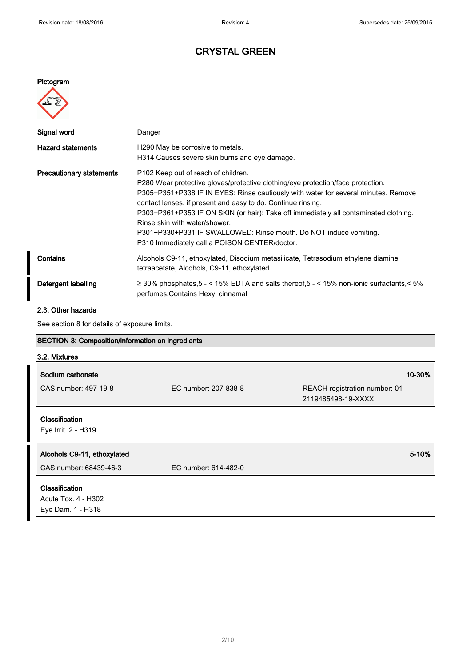# CRYSTAL GREEN

### Pictogram



| Signal word                     | Danger                                                                                                                                                                                                                                                                                                                                                                                                                                                                                                                                 |
|---------------------------------|----------------------------------------------------------------------------------------------------------------------------------------------------------------------------------------------------------------------------------------------------------------------------------------------------------------------------------------------------------------------------------------------------------------------------------------------------------------------------------------------------------------------------------------|
| <b>Hazard statements</b>        | H290 May be corrosive to metals.<br>H314 Causes severe skin burns and eye damage.                                                                                                                                                                                                                                                                                                                                                                                                                                                      |
| <b>Precautionary statements</b> | P <sub>102</sub> Keep out of reach of children.<br>P280 Wear protective gloves/protective clothing/eye protection/face protection.<br>P305+P351+P338 IF IN EYES: Rinse cautiously with water for several minutes. Remove<br>contact lenses, if present and easy to do. Continue rinsing.<br>P303+P361+P353 IF ON SKIN (or hair): Take off immediately all contaminated clothing.<br>Rinse skin with water/shower<br>P301+P330+P331 IF SWALLOWED: Rinse mouth. Do NOT induce vomiting.<br>P310 Immediately call a POISON CENTER/doctor. |
| Contains                        | Alcohols C9-11, ethoxylated, Disodium metasilicate, Tetrasodium ethylene diamine<br>tetraacetate, Alcohols, C9-11, ethoxylated                                                                                                                                                                                                                                                                                                                                                                                                         |
| Detergent labelling             | $\geq$ 30% phosphates, 5 - < 15% EDTA and salts thereof, 5 - < 15% non-ionic surfactants, < 5%<br>perfumes, Contains Hexyl cinnamal                                                                                                                                                                                                                                                                                                                                                                                                    |

## 2.3. Other hazards

See section 8 for details of exposure limits.

| SECTION 3: Composition/information on ingredients                 |                      |                                                      |  |
|-------------------------------------------------------------------|----------------------|------------------------------------------------------|--|
| 3.2. Mixtures                                                     |                      |                                                      |  |
| Sodium carbonate                                                  |                      | 10-30%                                               |  |
| CAS number: 497-19-8                                              | EC number: 207-838-8 | REACH registration number: 01-<br>2119485498-19-XXXX |  |
| Classification<br>Eye Irrit. 2 - H319                             |                      |                                                      |  |
| Alcohols C9-11, ethoxylated                                       |                      | 5-10%                                                |  |
| CAS number: 68439-46-3                                            | EC number: 614-482-0 |                                                      |  |
| <b>Classification</b><br>Acute Tox. 4 - H302<br>Eye Dam. 1 - H318 |                      |                                                      |  |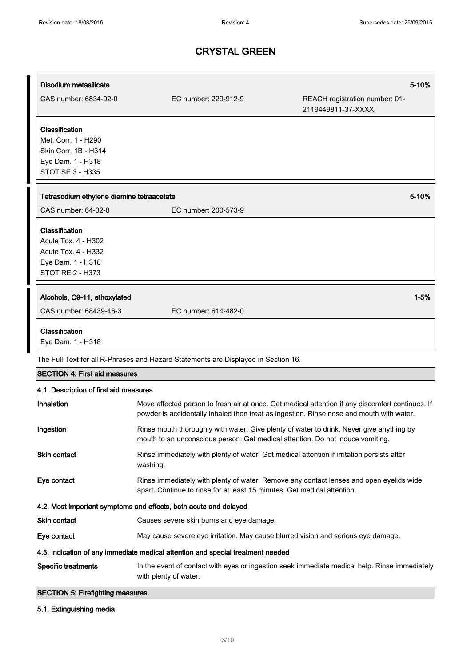| Disodium metasilicate                        |                                                                                                                                                                            | 5-10%                                                                                            |  |
|----------------------------------------------|----------------------------------------------------------------------------------------------------------------------------------------------------------------------------|--------------------------------------------------------------------------------------------------|--|
| CAS number: 6834-92-0                        | EC number: 229-912-9                                                                                                                                                       | REACH registration number: 01-<br>2119449811-37-XXXX                                             |  |
| Classification                               |                                                                                                                                                                            |                                                                                                  |  |
| Met. Corr. 1 - H290                          |                                                                                                                                                                            |                                                                                                  |  |
| Skin Corr. 1B - H314                         |                                                                                                                                                                            |                                                                                                  |  |
| Eye Dam. 1 - H318<br><b>STOT SE 3 - H335</b> |                                                                                                                                                                            |                                                                                                  |  |
|                                              |                                                                                                                                                                            |                                                                                                  |  |
| Tetrasodium ethylene diamine tetraacetate    |                                                                                                                                                                            | 5-10%                                                                                            |  |
| CAS number: 64-02-8                          | EC number: 200-573-9                                                                                                                                                       |                                                                                                  |  |
| Classification                               |                                                                                                                                                                            |                                                                                                  |  |
| Acute Tox. 4 - H302                          |                                                                                                                                                                            |                                                                                                  |  |
| <b>Acute Tox. 4 - H332</b>                   |                                                                                                                                                                            |                                                                                                  |  |
| Eye Dam. 1 - H318<br><b>STOT RE 2 - H373</b> |                                                                                                                                                                            |                                                                                                  |  |
|                                              |                                                                                                                                                                            |                                                                                                  |  |
| Alcohols, C9-11, ethoxylated                 |                                                                                                                                                                            | $1 - 5%$                                                                                         |  |
| CAS number: 68439-46-3                       | EC number: 614-482-0                                                                                                                                                       |                                                                                                  |  |
| Classification                               |                                                                                                                                                                            |                                                                                                  |  |
| Eye Dam. 1 - H318                            |                                                                                                                                                                            |                                                                                                  |  |
|                                              | The Full Text for all R-Phrases and Hazard Statements are Displayed in Section 16.                                                                                         |                                                                                                  |  |
| <b>SECTION 4: First aid measures</b>         |                                                                                                                                                                            |                                                                                                  |  |
| 4.1. Description of first aid measures       |                                                                                                                                                                            |                                                                                                  |  |
| Inhalation                                   | powder is accidentally inhaled then treat as ingestion. Rinse nose and mouth with water.                                                                                   | Move affected person to fresh air at once. Get medical attention if any discomfort continues. If |  |
| Ingestion                                    | Rinse mouth thoroughly with water. Give plenty of water to drink. Never give anything by<br>mouth to an unconscious person. Get medical attention. Do not induce vomiting. |                                                                                                  |  |
| Skin contact                                 | Rinse immediately with plenty of water. Get medical attention if irritation persists after<br>washing.                                                                     |                                                                                                  |  |
| Eye contact                                  | Rinse immediately with plenty of water. Remove any contact lenses and open eyelids wide<br>apart. Continue to rinse for at least 15 minutes. Get medical attention.        |                                                                                                  |  |
|                                              | 4.2. Most important symptoms and effects, both acute and delayed                                                                                                           |                                                                                                  |  |
| Skin contact                                 | Causes severe skin burns and eye damage.                                                                                                                                   |                                                                                                  |  |
| Eye contact                                  | May cause severe eye irritation. May cause blurred vision and serious eye damage.                                                                                          |                                                                                                  |  |
|                                              | 4.3. Indication of any immediate medical attention and special treatment needed                                                                                            |                                                                                                  |  |
| <b>Specific treatments</b>                   | with plenty of water.                                                                                                                                                      | In the event of contact with eyes or ingestion seek immediate medical help. Rinse immediately    |  |
| <b>SECTION 5: Firefighting measures</b>      |                                                                                                                                                                            |                                                                                                  |  |
| 5.1. Extinguishing media                     |                                                                                                                                                                            |                                                                                                  |  |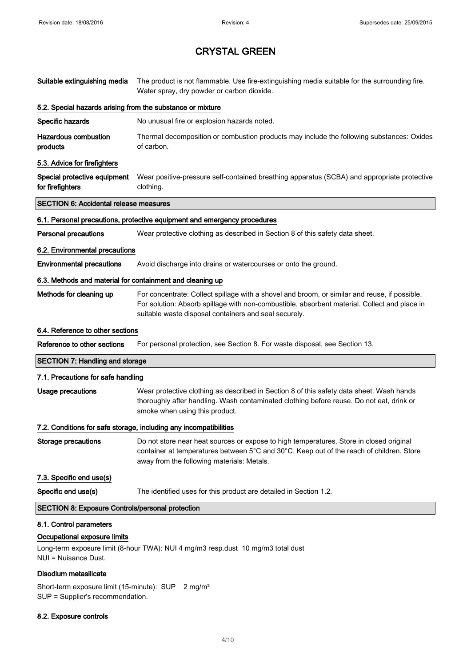| Suitable extinguishing media                                                    | The product is not flammable. Use fire-extinguishing media suitable for the surrounding fire.<br>Water spray, dry powder or carbon dioxide.                                                                                                            |  |  |  |  |
|---------------------------------------------------------------------------------|--------------------------------------------------------------------------------------------------------------------------------------------------------------------------------------------------------------------------------------------------------|--|--|--|--|
| 5.2. Special hazards arising from the substance or mixture                      |                                                                                                                                                                                                                                                        |  |  |  |  |
| Specific hazards                                                                | No unusual fire or explosion hazards noted.                                                                                                                                                                                                            |  |  |  |  |
| <b>Hazardous combustion</b><br>products                                         | Thermal decomposition or combustion products may include the following substances: Oxides<br>of carbon.                                                                                                                                                |  |  |  |  |
| 5.3. Advice for firefighters                                                    |                                                                                                                                                                                                                                                        |  |  |  |  |
| Special protective equipment<br>for firefighters                                | Wear positive-pressure self-contained breathing apparatus (SCBA) and appropriate protective<br>clothing.                                                                                                                                               |  |  |  |  |
| <b>SECTION 6: Accidental release measures</b>                                   |                                                                                                                                                                                                                                                        |  |  |  |  |
|                                                                                 | 6.1. Personal precautions, protective equipment and emergency procedures                                                                                                                                                                               |  |  |  |  |
| <b>Personal precautions</b>                                                     | Wear protective clothing as described in Section 8 of this safety data sheet.                                                                                                                                                                          |  |  |  |  |
| 6.2. Environmental precautions                                                  |                                                                                                                                                                                                                                                        |  |  |  |  |
| <b>Environmental precautions</b>                                                | Avoid discharge into drains or watercourses or onto the ground.                                                                                                                                                                                        |  |  |  |  |
| 6.3. Methods and material for containment and cleaning up                       |                                                                                                                                                                                                                                                        |  |  |  |  |
| Methods for cleaning up                                                         | For concentrate: Collect spillage with a shovel and broom, or similar and reuse, if possible.<br>For solution: Absorb spillage with non-combustible, absorbent material. Collect and place in<br>suitable waste disposal containers and seal securely. |  |  |  |  |
| 6.4. Reference to other sections                                                |                                                                                                                                                                                                                                                        |  |  |  |  |
| Reference to other sections                                                     | For personal protection, see Section 8. For waste disposal, see Section 13.                                                                                                                                                                            |  |  |  |  |
| <b>SECTION 7: Handling and storage</b>                                          |                                                                                                                                                                                                                                                        |  |  |  |  |
| 7.1. Precautions for safe handling                                              |                                                                                                                                                                                                                                                        |  |  |  |  |
| <b>Usage precautions</b>                                                        | Wear protective clothing as described in Section 8 of this safety data sheet. Wash hands<br>thoroughly after handling. Wash contaminated clothing before reuse. Do not eat, drink or<br>smoke when using this product.                                 |  |  |  |  |
|                                                                                 | 7.2. Conditions for safe storage, including any incompatibilities                                                                                                                                                                                      |  |  |  |  |
| <b>Storage precautions</b>                                                      | Do not store near heat sources or expose to high temperatures. Store in closed original<br>container at temperatures between 5°C and 30°C. Keep out of the reach of children. Store<br>away from the following materials: Metals.                      |  |  |  |  |
| 7.3. Specific end use(s)                                                        |                                                                                                                                                                                                                                                        |  |  |  |  |
| Specific end use(s)                                                             | The identified uses for this product are detailed in Section 1.2.                                                                                                                                                                                      |  |  |  |  |
| <b>SECTION 8: Exposure Controls/personal protection</b>                         |                                                                                                                                                                                                                                                        |  |  |  |  |
| 8.1. Control parameters<br>Occupational exposure limits<br>NUI = Nuisance Dust. | Long-term exposure limit (8-hour TWA): NUI 4 mg/m3 resp.dust 10 mg/m3 total dust                                                                                                                                                                       |  |  |  |  |

### Disodium metasilicate

Short-term exposure limit (15-minute): SUP 2 mg/m<sup>3</sup> SUP = Supplier's recommendation.

### 8.2. Exposure controls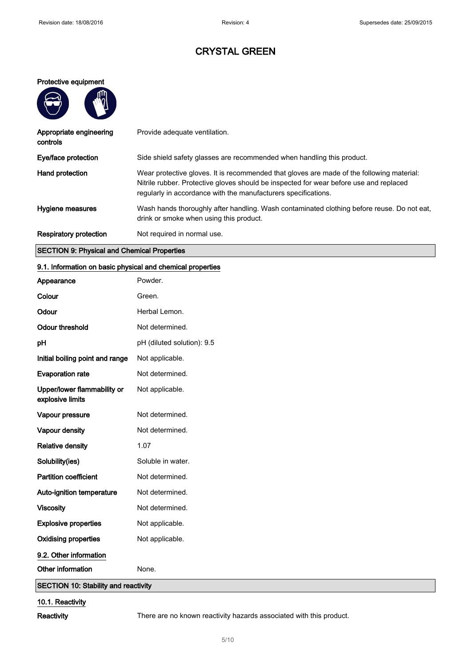### Protective equipment

| ΨÌ |
|----|
| λ  |
|    |

| Appropriate engineering<br>controls | Provide adequate ventilation.                                                                                                                                                                                                                         |
|-------------------------------------|-------------------------------------------------------------------------------------------------------------------------------------------------------------------------------------------------------------------------------------------------------|
| Eye/face protection                 | Side shield safety glasses are recommended when handling this product.                                                                                                                                                                                |
| Hand protection                     | Wear protective gloves. It is recommended that gloves are made of the following material:<br>Nitrile rubber. Protective gloves should be inspected for wear before use and replaced<br>regularly in accordance with the manufacturers specifications. |
| Hygiene measures                    | Wash hands thoroughly after handling. Wash contaminated clothing before reuse. Do not eat,<br>drink or smoke when using this product.                                                                                                                 |
| <b>Respiratory protection</b>       | Not required in normal use.                                                                                                                                                                                                                           |

## SECTION 9: Physical and Chemical Properties

### 9.1. Information on basic physical and chemical properties

| Appearance                                      | Powder.                    |  |  |  |  |
|-------------------------------------------------|----------------------------|--|--|--|--|
| Colour                                          | Green.                     |  |  |  |  |
| Odour                                           | Herbal Lemon.              |  |  |  |  |
| <b>Odour threshold</b>                          | Not determined.            |  |  |  |  |
| pH                                              | pH (diluted solution): 9.5 |  |  |  |  |
| Initial boiling point and range                 | Not applicable.            |  |  |  |  |
| <b>Evaporation rate</b>                         | Not determined.            |  |  |  |  |
| Upper/lower flammability or<br>explosive limits | Not applicable.            |  |  |  |  |
| Vapour pressure                                 | Not determined.            |  |  |  |  |
| Vapour density                                  | Not determined.            |  |  |  |  |
| <b>Relative density</b>                         | 1.07                       |  |  |  |  |
| Solubility(ies)                                 | Soluble in water.          |  |  |  |  |
| <b>Partition coefficient</b>                    | Not determined.            |  |  |  |  |
| Auto-ignition temperature                       | Not determined.            |  |  |  |  |
| <b>Viscosity</b>                                | Not determined.            |  |  |  |  |
| <b>Explosive properties</b>                     | Not applicable.            |  |  |  |  |
| <b>Oxidising properties</b>                     | Not applicable.            |  |  |  |  |
| 9.2. Other information                          |                            |  |  |  |  |
| Other information                               | None.                      |  |  |  |  |
| <b>SECTION 10: Stability and reactivity</b>     |                            |  |  |  |  |

## 10.1. Reactivity

Reactivity There are no known reactivity hazards associated with this product.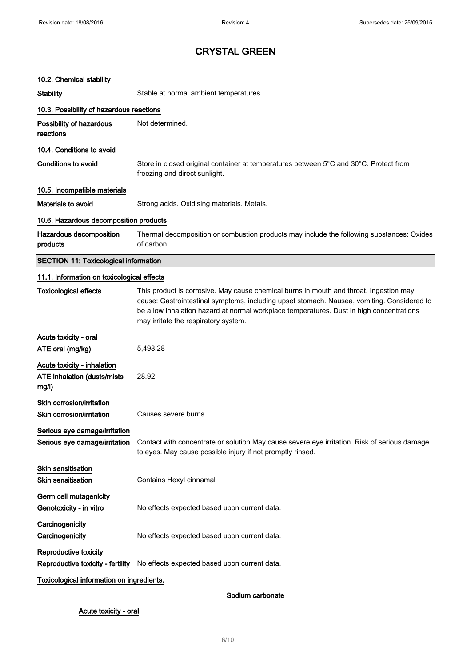| 10.2. Chemical stability                                            |                                                                                                                                                                                                                                                                                                                          |
|---------------------------------------------------------------------|--------------------------------------------------------------------------------------------------------------------------------------------------------------------------------------------------------------------------------------------------------------------------------------------------------------------------|
| <b>Stability</b>                                                    | Stable at normal ambient temperatures.                                                                                                                                                                                                                                                                                   |
| 10.3. Possibility of hazardous reactions                            |                                                                                                                                                                                                                                                                                                                          |
| <b>Possibility of hazardous</b><br>reactions                        | Not determined.                                                                                                                                                                                                                                                                                                          |
| 10.4. Conditions to avoid                                           |                                                                                                                                                                                                                                                                                                                          |
| <b>Conditions to avoid</b>                                          | Store in closed original container at temperatures between 5°C and 30°C. Protect from<br>freezing and direct sunlight.                                                                                                                                                                                                   |
| 10.5. Incompatible materials                                        |                                                                                                                                                                                                                                                                                                                          |
| Materials to avoid                                                  | Strong acids. Oxidising materials. Metals.                                                                                                                                                                                                                                                                               |
| 10.6. Hazardous decomposition products                              |                                                                                                                                                                                                                                                                                                                          |
| <b>Hazardous decomposition</b><br>products                          | Thermal decomposition or combustion products may include the following substances: Oxides<br>of carbon.                                                                                                                                                                                                                  |
| <b>SECTION 11: Toxicological information</b>                        |                                                                                                                                                                                                                                                                                                                          |
| 11.1. Information on toxicological effects                          |                                                                                                                                                                                                                                                                                                                          |
| <b>Toxicological effects</b>                                        | This product is corrosive. May cause chemical burns in mouth and throat. Ingestion may<br>cause: Gastrointestinal symptoms, including upset stomach. Nausea, vomiting. Considered to<br>be a low inhalation hazard at normal workplace temperatures. Dust in high concentrations<br>may irritate the respiratory system. |
| Acute toxicity - oral                                               |                                                                                                                                                                                                                                                                                                                          |
| ATE oral (mg/kg)                                                    | 5,498.28                                                                                                                                                                                                                                                                                                                 |
| Acute toxicity - inhalation<br>ATE inhalation (dusts/mists<br>mg/l) | 28.92                                                                                                                                                                                                                                                                                                                    |
| <b>Skin corrosion/irritation</b><br>Skin corrosion/irritation       | Causes severe burns.                                                                                                                                                                                                                                                                                                     |
| Serious eye damage/irritation                                       |                                                                                                                                                                                                                                                                                                                          |
| Serious eye damage/irritation                                       | Contact with concentrate or solution May cause severe eye irritation. Risk of serious damage<br>to eyes. May cause possible injury if not promptly rinsed.                                                                                                                                                               |
| Skin sensitisation                                                  |                                                                                                                                                                                                                                                                                                                          |
| <b>Skin sensitisation</b>                                           | Contains Hexyl cinnamal                                                                                                                                                                                                                                                                                                  |
| Germ cell mutagenicity                                              |                                                                                                                                                                                                                                                                                                                          |
| Genotoxicity - in vitro                                             | No effects expected based upon current data.                                                                                                                                                                                                                                                                             |
| Carcinogenicity<br>Carcinogenicity                                  | No effects expected based upon current data.                                                                                                                                                                                                                                                                             |
| <b>Reproductive toxicity</b><br>Reproductive toxicity - fertility   | No effects expected based upon current data.                                                                                                                                                                                                                                                                             |
| Toxicological information on ingredients.                           |                                                                                                                                                                                                                                                                                                                          |

## Sodium carbonate

## Acute toxicity - oral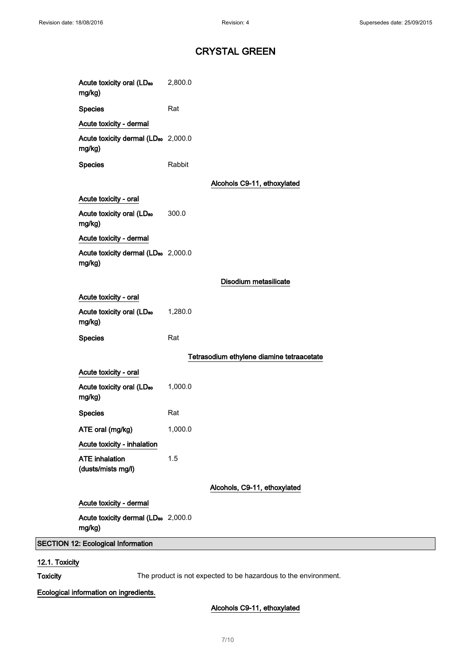| Acute toxicity oral (LD <sub>50</sub><br>mg/kg)           | 2,800.0 |                                           |
|-----------------------------------------------------------|---------|-------------------------------------------|
| <b>Species</b>                                            | Rat     |                                           |
| Acute toxicity - dermal                                   |         |                                           |
| Acute toxicity dermal (LD <sub>50</sub> 2,000.0<br>mg/kg) |         |                                           |
| <b>Species</b>                                            | Rabbit  |                                           |
|                                                           |         | Alcohols C9-11, ethoxylated               |
| Acute toxicity - oral                                     |         |                                           |
| Acute toxicity oral (LD <sub>50</sub><br>mg/kg)           | 300.0   |                                           |
| Acute toxicity - dermal                                   |         |                                           |
| Acute toxicity dermal (LD <sub>50</sub> 2,000.0<br>mg/kg) |         |                                           |
|                                                           |         | Disodium metasilicate                     |
| Acute toxicity - oral                                     |         |                                           |
| Acute toxicity oral (LD <sub>50</sub><br>mg/kg)           | 1,280.0 |                                           |
| <b>Species</b>                                            | Rat     |                                           |
|                                                           |         | Tetrasodium ethylene diamine tetraacetate |
| Acute toxicity - oral                                     |         |                                           |
| Acute toxicity oral (LD <sub>50</sub><br>mg/kg)           | 1,000.0 |                                           |
| <b>Species</b>                                            | Rat     |                                           |
| ATE oral (mg/kg)                                          | 1,000.0 |                                           |
| Acute toxicity - inhalation                               |         |                                           |
| <b>ATE</b> inhalation<br>(dusts/mists mg/l)               | 1.5     |                                           |
|                                                           |         | Alcohols, C9-11, ethoxylated              |
| Acute toxicity - dermal                                   |         |                                           |
| Acute toxicity dermal (LD <sub>50</sub> 2,000.0<br>mg/kg) |         |                                           |
| 12: Ecological Information                                |         |                                           |
|                                                           |         |                                           |

## 12.1. Toxicity

**SECTION** 

Toxicity The product is not expected to be hazardous to the environment.

## Ecological information on ingredients.

Alcohols C9-11, ethoxylated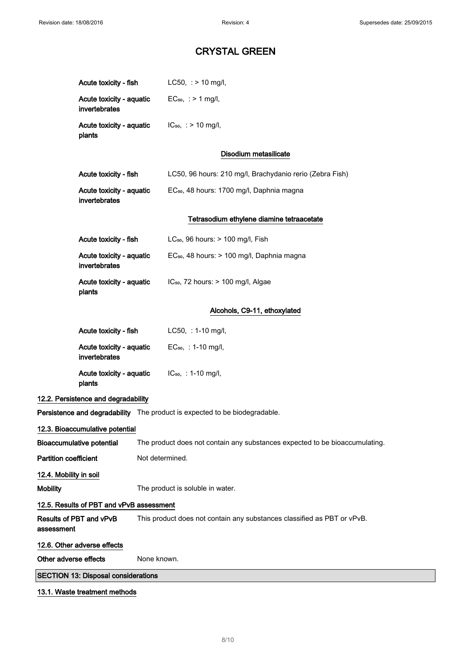|                                                                                                                 | Acute toxicity - fish                                                                              |             | $LC50$ , : > 10 mg/l,                                    |
|-----------------------------------------------------------------------------------------------------------------|----------------------------------------------------------------------------------------------------|-------------|----------------------------------------------------------|
|                                                                                                                 | Acute toxicity - aquatic<br>invertebrates                                                          |             | $EC_{50}$ , : > 1 mg/l,                                  |
|                                                                                                                 | Acute toxicity - aquatic<br>plants                                                                 |             | $IC_{50}$ , : > 10 mg/l,                                 |
|                                                                                                                 |                                                                                                    |             | Disodium metasilicate                                    |
|                                                                                                                 | Acute toxicity - fish                                                                              |             | LC50, 96 hours: 210 mg/l, Brachydanio rerio (Zebra Fish) |
|                                                                                                                 | Acute toxicity - aquatic<br>invertebrates                                                          |             | EC <sub>50</sub> , 48 hours: 1700 mg/l, Daphnia magna    |
|                                                                                                                 |                                                                                                    |             | Tetrasodium ethylene diamine tetraacetate                |
|                                                                                                                 | Acute toxicity - fish                                                                              |             | LC <sub>50</sub> , 96 hours: $> 100$ mg/l, Fish          |
|                                                                                                                 | Acute toxicity - aquatic<br>invertebrates                                                          |             | EC <sub>50</sub> , 48 hours: > 100 mg/l, Daphnia magna   |
|                                                                                                                 | Acute toxicity - aquatic<br>plants                                                                 |             | IC <sub>50</sub> , 72 hours: > 100 mg/l, Algae           |
|                                                                                                                 |                                                                                                    |             | Alcohols, C9-11, ethoxylated                             |
|                                                                                                                 | Acute toxicity - fish                                                                              |             | LC50, : 1-10 mg/l,                                       |
|                                                                                                                 | Acute toxicity - aquatic<br>invertebrates                                                          |             | $EC_{50}$ , : 1-10 mg/l,                                 |
|                                                                                                                 | Acute toxicity - aquatic<br>plants                                                                 |             | $IC_{50}$ , : 1-10 mg/l,                                 |
|                                                                                                                 | 12.2. Persistence and degradability                                                                |             |                                                          |
| Persistence and degradability The product is expected to be biodegradable.                                      |                                                                                                    |             |                                                          |
|                                                                                                                 | 12.3. Bioaccumulative potential                                                                    |             |                                                          |
| <b>Bioaccumulative potential</b><br>The product does not contain any substances expected to be bioaccumulating. |                                                                                                    |             |                                                          |
| <b>Partition coefficient</b><br>Not determined.                                                                 |                                                                                                    |             |                                                          |
| 12.4. Mobility in soil                                                                                          |                                                                                                    |             |                                                          |
| <b>Mobility</b>                                                                                                 | The product is soluble in water.                                                                   |             |                                                          |
| 12.5. Results of PBT and vPvB assessment                                                                        |                                                                                                    |             |                                                          |
| assessment                                                                                                      | Results of PBT and vPvB<br>This product does not contain any substances classified as PBT or vPvB. |             |                                                          |
|                                                                                                                 | 12.6. Other adverse effects                                                                        |             |                                                          |
| Other adverse effects                                                                                           |                                                                                                    | None known. |                                                          |
| <b>SECTION 13: Disposal considerations</b>                                                                      |                                                                                                    |             |                                                          |
|                                                                                                                 | 13.1. Waste treatment methods                                                                      |             |                                                          |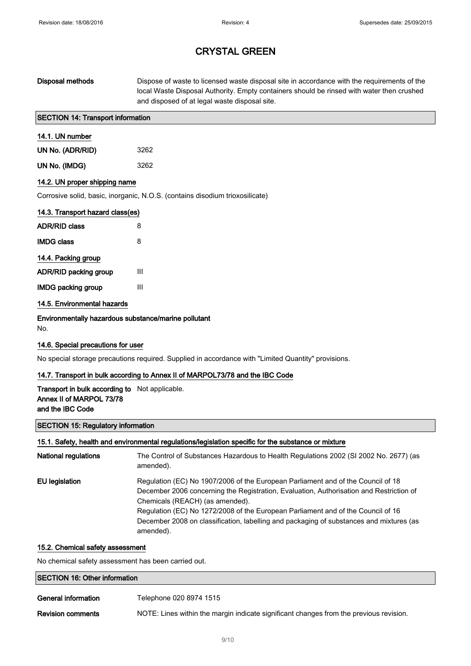## Disposal methods Dispose of waste to licensed waste disposal site in accordance with the requirements of the local Waste Disposal Authority. Empty containers should be rinsed with water then crushed and disposed of at legal waste disposal site.

### SECTION 14: Transport information

## 14.1. UN number

| UN No. (ADR/RID) | 3262 |
|------------------|------|
| UN No. (IMDG)    | 3262 |

### 14.2. UN proper shipping name

Corrosive solid, basic, inorganic, N.O.S. (contains disodium trioxosilicate)

| 14.3. Transport hazard class(es) |   |
|----------------------------------|---|
| <b>ADR/RID class</b>             | 8 |
| <b>IMDG class</b>                | 8 |
| 14.4. Packing group              |   |
| <b>ADR/RID packing group</b>     | Ш |
| <b>IMDG packing group</b>        | Ш |

### 14.5. Environmental hazards

Environmentally hazardous substance/marine pollutant No.

### 14.6. Special precautions for user

No special storage precautions required. Supplied in accordance with "Limited Quantity" provisions.

### 14.7. Transport in bulk according to Annex II of MARPOL73/78 and the IBC Code

### Transport in bulk according to Not applicable. Annex II of MARPOL 73/78 and the IBC Code

#### SECTION 15: Regulatory information

#### 15.1. Safety, health and environmental regulations/legislation specific for the substance or mixture

| <b>National regulations</b> | The Control of Substances Hazardous to Health Regulations 2002 (SI 2002 No. 2677) (as<br>amended).                                                                                                                                                                                                                                                                                                         |
|-----------------------------|------------------------------------------------------------------------------------------------------------------------------------------------------------------------------------------------------------------------------------------------------------------------------------------------------------------------------------------------------------------------------------------------------------|
| EU legislation              | Regulation (EC) No 1907/2006 of the European Parliament and of the Council of 18<br>December 2006 concerning the Registration, Evaluation, Authorisation and Restriction of<br>Chemicals (REACH) (as amended).<br>Regulation (EC) No 1272/2008 of the European Parliament and of the Council of 16<br>December 2008 on classification, labelling and packaging of substances and mixtures (as<br>amended). |

#### 15.2. Chemical safety assessment

No chemical safety assessment has been carried out.

## SECTION 16: Other information

| General information | Telephone 020 8974 1515 |
|---------------------|-------------------------|
|                     |                         |

Revision comments NOTE: Lines within the margin indicate significant changes from the previous revision.